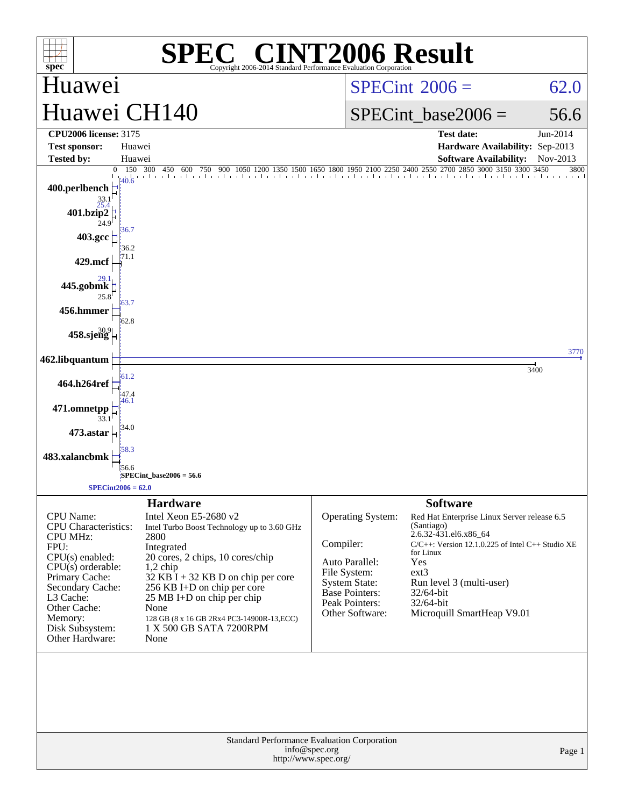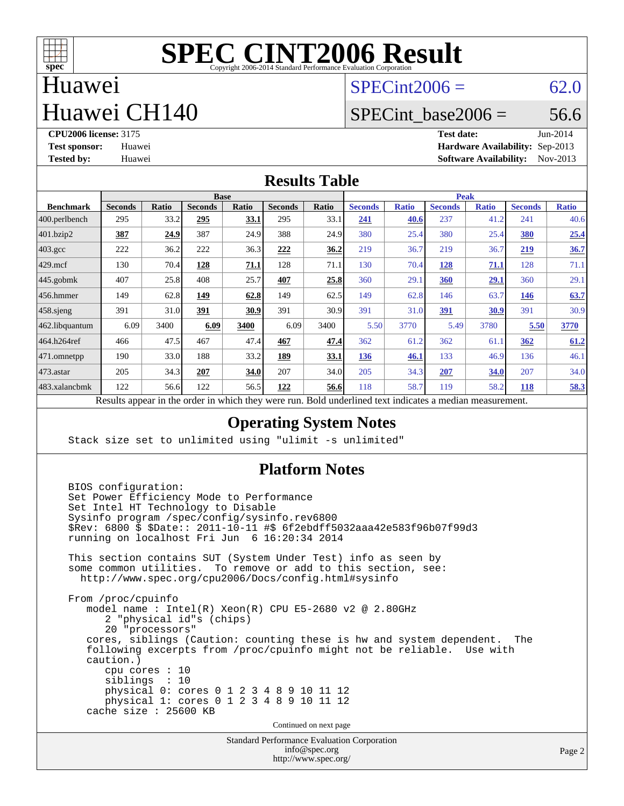

#### Huawei Huawei CH140

 $SPECint2006 = 62.0$  $SPECint2006 = 62.0$ 

#### SPECint base2006 =  $56.6$

**[CPU2006 license:](http://www.spec.org/auto/cpu2006/Docs/result-fields.html#CPU2006license)** 3175 **[Test date:](http://www.spec.org/auto/cpu2006/Docs/result-fields.html#Testdate)** Jun-2014 **[Test sponsor:](http://www.spec.org/auto/cpu2006/Docs/result-fields.html#Testsponsor)** Huawei **[Hardware Availability:](http://www.spec.org/auto/cpu2006/Docs/result-fields.html#HardwareAvailability)** Sep-2013 **[Tested by:](http://www.spec.org/auto/cpu2006/Docs/result-fields.html#Testedby)** Huawei **[Software Availability:](http://www.spec.org/auto/cpu2006/Docs/result-fields.html#SoftwareAvailability)** Nov-2013

#### **[Results Table](http://www.spec.org/auto/cpu2006/Docs/result-fields.html#ResultsTable)**

|                                                                                                                | <b>Base</b>    |       |                |       |                |             | <b>Peak</b>    |              |                |              |                |              |
|----------------------------------------------------------------------------------------------------------------|----------------|-------|----------------|-------|----------------|-------------|----------------|--------------|----------------|--------------|----------------|--------------|
| <b>Benchmark</b>                                                                                               | <b>Seconds</b> | Ratio | <b>Seconds</b> | Ratio | <b>Seconds</b> | Ratio       | <b>Seconds</b> | <b>Ratio</b> | <b>Seconds</b> | <b>Ratio</b> | <b>Seconds</b> | <b>Ratio</b> |
| $ 400.\text{perlbench}$                                                                                        | 295            | 33.2  | 295            | 33.1  | 295            | 33.1        | 241            | 40.6         | 237            | 41.2         | 241            | 40.6         |
| 401.bzip2                                                                                                      | 387            | 24.9  | 387            | 24.9  | 388            | 24.9        | 380            | 25.4         | 380            | 25.4         | 380            | 25.4         |
| $403.\mathrm{gcc}$                                                                                             | 222            | 36.2  | 222            | 36.3  | 222            | 36.2        | 219            | 36.7         | 219            | 36.7         | 219            | 36.7         |
| $429$ .mcf                                                                                                     | 130            | 70.4  | 128            | 71.1  | 128            | 71.1        | 130            | 70.4         | <b>128</b>     | 71.1         | 128            | 71.1         |
| $445$ .gobmk                                                                                                   | 407            | 25.8  | 408            | 25.7  | 407            | 25.8        | 360            | 29.1         | 360            | <u>29.1</u>  | 360            | 29.1         |
| $456.$ hmmer                                                                                                   | 149            | 62.8  | 149            | 62.8  | 149            | 62.5        | 149            | 62.8         | 146            | 63.7         | 146            | 63.7         |
| $458$ .sjeng                                                                                                   | 391            | 31.0  | 391            | 30.9  | 391            | 30.9        | 391            | 31.0         | <u>391</u>     | 30.9         | 391            | 30.9         |
| 462.libquantum                                                                                                 | 6.09           | 3400  | 6.09           | 3400  | 6.09           | 3400        | 5.50           | 3770         | 5.49           | 3780         | 5.50           | 3770         |
| 464.h264ref                                                                                                    | 466            | 47.5  | 467            | 47.4  | 467            | 47.4        | 362            | 61.2         | 362            | 61.1         | 362            | 61.2         |
| 471.omnetpp                                                                                                    | 190            | 33.0  | 188            | 33.2  | 189            | <u>33.1</u> | 136            | 46.1         | 133            | 46.9         | 136            | 46.1         |
| $ 473$ . astar                                                                                                 | 205            | 34.3  | 207            | 34.0  | 207            | 34.0        | 205            | 34.3         | 207            | 34.0         | 207            | 34.0         |
| 483.xalancbmk                                                                                                  | 122            | 56.6  | 122            | 56.5  | 122            | 56.6        | 118            | 58.7         | 119            | 58.2         | 118            | 58.3         |
| Describe encourage in the conduction withink these weeks more<br>Deld and called to almost indicates a madison |                |       |                |       |                |             |                |              |                |              |                |              |

Results appear in the [order in which they were run.](http://www.spec.org/auto/cpu2006/Docs/result-fields.html#RunOrder) Bold underlined text [indicates a median measurement.](http://www.spec.org/auto/cpu2006/Docs/result-fields.html#Median)

#### **[Operating System Notes](http://www.spec.org/auto/cpu2006/Docs/result-fields.html#OperatingSystemNotes)**

Stack size set to unlimited using "ulimit -s unlimited"

#### **[Platform Notes](http://www.spec.org/auto/cpu2006/Docs/result-fields.html#PlatformNotes)**

Standard Performance Evaluation Corporation BIOS configuration: Set Power Efficiency Mode to Performance Set Intel HT Technology to Disable Sysinfo program /spec/config/sysinfo.rev6800 \$Rev: 6800 \$ \$Date:: 2011-10-11 #\$ 6f2ebdff5032aaa42e583f96b07f99d3 running on localhost Fri Jun 6 16:20:34 2014 This section contains SUT (System Under Test) info as seen by some common utilities. To remove or add to this section, see: <http://www.spec.org/cpu2006/Docs/config.html#sysinfo> From /proc/cpuinfo model name : Intel(R) Xeon(R) CPU E5-2680 v2 @ 2.80GHz 2 "physical id"s (chips) 20 "processors" cores, siblings (Caution: counting these is hw and system dependent. The following excerpts from /proc/cpuinfo might not be reliable. Use with caution.) cpu cores : 10 siblings : 10 physical 0: cores 0 1 2 3 4 8 9 10 11 12 physical 1: cores 0 1 2 3 4 8 9 10 11 12 cache size : 25600 KB Continued on next page

> [info@spec.org](mailto:info@spec.org) <http://www.spec.org/>

Page 2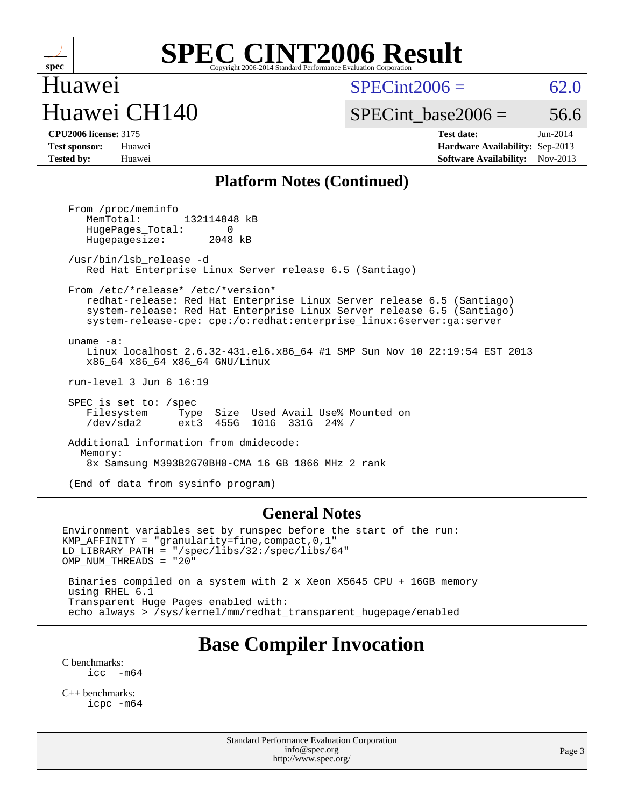

 $SPECint2006 = 62.0$  $SPECint2006 = 62.0$ 

### Huawei CH140

SPECint base2006 =  $56.6$ 

| <b>CPU2006 license: 3175</b> |                             |
|------------------------------|-----------------------------|
| Tost sponsor.                | $\mathbf{H}_{\mathbf{112}}$ |

Huawei

**[CPU2006 license:](http://www.spec.org/auto/cpu2006/Docs/result-fields.html#CPU2006license)** 3175 **[Test date:](http://www.spec.org/auto/cpu2006/Docs/result-fields.html#Testdate)** Jun-2014 **[Test sponsor:](http://www.spec.org/auto/cpu2006/Docs/result-fields.html#Testsponsor)** Huawei **[Hardware Availability:](http://www.spec.org/auto/cpu2006/Docs/result-fields.html#HardwareAvailability)** Sep-2013 **[Tested by:](http://www.spec.org/auto/cpu2006/Docs/result-fields.html#Testedby)** Huawei **[Software Availability:](http://www.spec.org/auto/cpu2006/Docs/result-fields.html#SoftwareAvailability)** Nov-2013

#### **[Platform Notes \(Continued\)](http://www.spec.org/auto/cpu2006/Docs/result-fields.html#PlatformNotes)**

 From /proc/meminfo MemTotal: 132114848 kB HugePages\_Total: 0<br>Hugepagesize: 2048 kB Hugepagesize: /usr/bin/lsb\_release -d Red Hat Enterprise Linux Server release 6.5 (Santiago) From /etc/\*release\* /etc/\*version\* redhat-release: Red Hat Enterprise Linux Server release 6.5 (Santiago) system-release: Red Hat Enterprise Linux Server release 6.5 (Santiago) system-release-cpe: cpe:/o:redhat:enterprise\_linux:6server:ga:server uname -a: Linux localhost 2.6.32-431.el6.x86\_64 #1 SMP Sun Nov 10 22:19:54 EST 2013 x86\_64 x86\_64 x86\_64 GNU/Linux run-level 3 Jun 6 16:19 SPEC is set to: /spec Filesystem Type Size Used Avail Use% Mounted on<br>
/dev/sda2 ext3 455G 101G 331G 24% / /dev/sda2 ext3 455G 101G 331G 24% / Additional information from dmidecode: Memory: 8x Samsung M393B2G70BH0-CMA 16 GB 1866 MHz 2 rank (End of data from sysinfo program)

#### **[General Notes](http://www.spec.org/auto/cpu2006/Docs/result-fields.html#GeneralNotes)**

Environment variables set by runspec before the start of the run: KMP\_AFFINITY = "granularity=fine,compact,0,1" LD\_LIBRARY\_PATH = "/spec/libs/32:/spec/libs/64" OMP\_NUM\_THREADS = "20" Binaries compiled on a system with 2 x Xeon X5645 CPU + 16GB memory using RHEL 6.1 Transparent Huge Pages enabled with:

echo always > /sys/kernel/mm/redhat\_transparent\_hugepage/enabled

#### **[Base Compiler Invocation](http://www.spec.org/auto/cpu2006/Docs/result-fields.html#BaseCompilerInvocation)**

[C benchmarks](http://www.spec.org/auto/cpu2006/Docs/result-fields.html#Cbenchmarks): [icc -m64](http://www.spec.org/cpu2006/results/res2014q3/cpu2006-20140610-29850.flags.html#user_CCbase_intel_icc_64bit_f346026e86af2a669e726fe758c88044)

[C++ benchmarks:](http://www.spec.org/auto/cpu2006/Docs/result-fields.html#CXXbenchmarks) [icpc -m64](http://www.spec.org/cpu2006/results/res2014q3/cpu2006-20140610-29850.flags.html#user_CXXbase_intel_icpc_64bit_fc66a5337ce925472a5c54ad6a0de310)

> Standard Performance Evaluation Corporation [info@spec.org](mailto:info@spec.org) <http://www.spec.org/>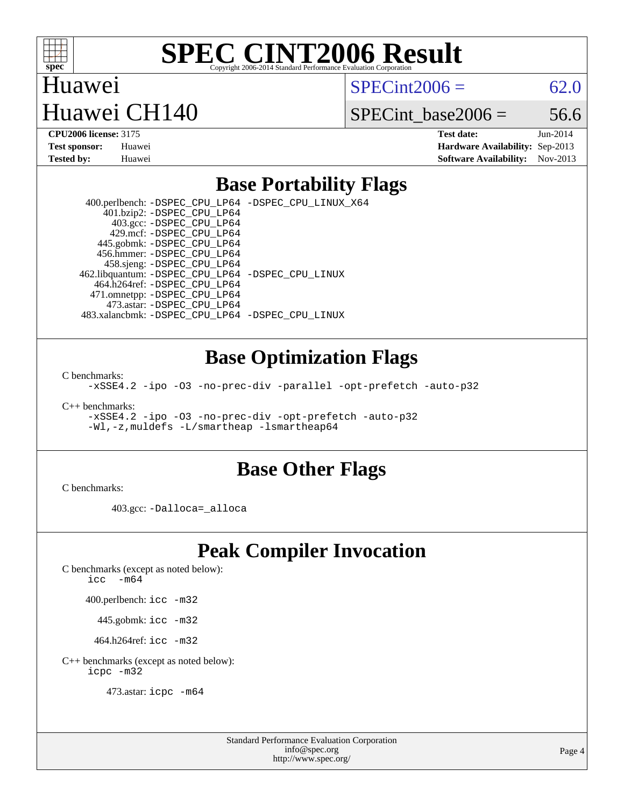

 $SPECint2006 = 62.0$  $SPECint2006 = 62.0$ 

### Huawei CH140

SPECint base2006 =  $56.6$ 

Huawei

**[CPU2006 license:](http://www.spec.org/auto/cpu2006/Docs/result-fields.html#CPU2006license)** 3175 **[Test date:](http://www.spec.org/auto/cpu2006/Docs/result-fields.html#Testdate)** Jun-2014 **[Test sponsor:](http://www.spec.org/auto/cpu2006/Docs/result-fields.html#Testsponsor)** Huawei **[Hardware Availability:](http://www.spec.org/auto/cpu2006/Docs/result-fields.html#HardwareAvailability)** Sep-2013 **[Tested by:](http://www.spec.org/auto/cpu2006/Docs/result-fields.html#Testedby)** Huawei **[Software Availability:](http://www.spec.org/auto/cpu2006/Docs/result-fields.html#SoftwareAvailability)** Nov-2013

#### **[Base Portability Flags](http://www.spec.org/auto/cpu2006/Docs/result-fields.html#BasePortabilityFlags)**

 400.perlbench: [-DSPEC\\_CPU\\_LP64](http://www.spec.org/cpu2006/results/res2014q3/cpu2006-20140610-29850.flags.html#b400.perlbench_basePORTABILITY_DSPEC_CPU_LP64) [-DSPEC\\_CPU\\_LINUX\\_X64](http://www.spec.org/cpu2006/results/res2014q3/cpu2006-20140610-29850.flags.html#b400.perlbench_baseCPORTABILITY_DSPEC_CPU_LINUX_X64) 401.bzip2: [-DSPEC\\_CPU\\_LP64](http://www.spec.org/cpu2006/results/res2014q3/cpu2006-20140610-29850.flags.html#suite_basePORTABILITY401_bzip2_DSPEC_CPU_LP64) 403.gcc: [-DSPEC\\_CPU\\_LP64](http://www.spec.org/cpu2006/results/res2014q3/cpu2006-20140610-29850.flags.html#suite_basePORTABILITY403_gcc_DSPEC_CPU_LP64) 429.mcf: [-DSPEC\\_CPU\\_LP64](http://www.spec.org/cpu2006/results/res2014q3/cpu2006-20140610-29850.flags.html#suite_basePORTABILITY429_mcf_DSPEC_CPU_LP64) 445.gobmk: [-DSPEC\\_CPU\\_LP64](http://www.spec.org/cpu2006/results/res2014q3/cpu2006-20140610-29850.flags.html#suite_basePORTABILITY445_gobmk_DSPEC_CPU_LP64) 456.hmmer: [-DSPEC\\_CPU\\_LP64](http://www.spec.org/cpu2006/results/res2014q3/cpu2006-20140610-29850.flags.html#suite_basePORTABILITY456_hmmer_DSPEC_CPU_LP64) 458.sjeng: [-DSPEC\\_CPU\\_LP64](http://www.spec.org/cpu2006/results/res2014q3/cpu2006-20140610-29850.flags.html#suite_basePORTABILITY458_sjeng_DSPEC_CPU_LP64) 462.libquantum: [-DSPEC\\_CPU\\_LP64](http://www.spec.org/cpu2006/results/res2014q3/cpu2006-20140610-29850.flags.html#suite_basePORTABILITY462_libquantum_DSPEC_CPU_LP64) [-DSPEC\\_CPU\\_LINUX](http://www.spec.org/cpu2006/results/res2014q3/cpu2006-20140610-29850.flags.html#b462.libquantum_baseCPORTABILITY_DSPEC_CPU_LINUX) 464.h264ref: [-DSPEC\\_CPU\\_LP64](http://www.spec.org/cpu2006/results/res2014q3/cpu2006-20140610-29850.flags.html#suite_basePORTABILITY464_h264ref_DSPEC_CPU_LP64) 471.omnetpp: [-DSPEC\\_CPU\\_LP64](http://www.spec.org/cpu2006/results/res2014q3/cpu2006-20140610-29850.flags.html#suite_basePORTABILITY471_omnetpp_DSPEC_CPU_LP64) 473.astar: [-DSPEC\\_CPU\\_LP64](http://www.spec.org/cpu2006/results/res2014q3/cpu2006-20140610-29850.flags.html#suite_basePORTABILITY473_astar_DSPEC_CPU_LP64) 483.xalancbmk: [-DSPEC\\_CPU\\_LP64](http://www.spec.org/cpu2006/results/res2014q3/cpu2006-20140610-29850.flags.html#suite_basePORTABILITY483_xalancbmk_DSPEC_CPU_LP64) [-DSPEC\\_CPU\\_LINUX](http://www.spec.org/cpu2006/results/res2014q3/cpu2006-20140610-29850.flags.html#b483.xalancbmk_baseCXXPORTABILITY_DSPEC_CPU_LINUX)

#### **[Base Optimization Flags](http://www.spec.org/auto/cpu2006/Docs/result-fields.html#BaseOptimizationFlags)**

[C benchmarks](http://www.spec.org/auto/cpu2006/Docs/result-fields.html#Cbenchmarks):

[-xSSE4.2](http://www.spec.org/cpu2006/results/res2014q3/cpu2006-20140610-29850.flags.html#user_CCbase_f-xSSE42_f91528193cf0b216347adb8b939d4107) [-ipo](http://www.spec.org/cpu2006/results/res2014q3/cpu2006-20140610-29850.flags.html#user_CCbase_f-ipo) [-O3](http://www.spec.org/cpu2006/results/res2014q3/cpu2006-20140610-29850.flags.html#user_CCbase_f-O3) [-no-prec-div](http://www.spec.org/cpu2006/results/res2014q3/cpu2006-20140610-29850.flags.html#user_CCbase_f-no-prec-div) [-parallel](http://www.spec.org/cpu2006/results/res2014q3/cpu2006-20140610-29850.flags.html#user_CCbase_f-parallel) [-opt-prefetch](http://www.spec.org/cpu2006/results/res2014q3/cpu2006-20140610-29850.flags.html#user_CCbase_f-opt-prefetch) [-auto-p32](http://www.spec.org/cpu2006/results/res2014q3/cpu2006-20140610-29850.flags.html#user_CCbase_f-auto-p32)

[C++ benchmarks:](http://www.spec.org/auto/cpu2006/Docs/result-fields.html#CXXbenchmarks)

[-xSSE4.2](http://www.spec.org/cpu2006/results/res2014q3/cpu2006-20140610-29850.flags.html#user_CXXbase_f-xSSE42_f91528193cf0b216347adb8b939d4107) [-ipo](http://www.spec.org/cpu2006/results/res2014q3/cpu2006-20140610-29850.flags.html#user_CXXbase_f-ipo) [-O3](http://www.spec.org/cpu2006/results/res2014q3/cpu2006-20140610-29850.flags.html#user_CXXbase_f-O3) [-no-prec-div](http://www.spec.org/cpu2006/results/res2014q3/cpu2006-20140610-29850.flags.html#user_CXXbase_f-no-prec-div) [-opt-prefetch](http://www.spec.org/cpu2006/results/res2014q3/cpu2006-20140610-29850.flags.html#user_CXXbase_f-opt-prefetch) [-auto-p32](http://www.spec.org/cpu2006/results/res2014q3/cpu2006-20140610-29850.flags.html#user_CXXbase_f-auto-p32) [-Wl,-z,muldefs](http://www.spec.org/cpu2006/results/res2014q3/cpu2006-20140610-29850.flags.html#user_CXXbase_link_force_multiple1_74079c344b956b9658436fd1b6dd3a8a) [-L/smartheap -lsmartheap64](http://www.spec.org/cpu2006/results/res2014q3/cpu2006-20140610-29850.flags.html#user_CXXbase_SmartHeap64_5e654037dadeae1fe403ab4b4466e60b)

#### **[Base Other Flags](http://www.spec.org/auto/cpu2006/Docs/result-fields.html#BaseOtherFlags)**

[C benchmarks](http://www.spec.org/auto/cpu2006/Docs/result-fields.html#Cbenchmarks):

403.gcc: [-Dalloca=\\_alloca](http://www.spec.org/cpu2006/results/res2014q3/cpu2006-20140610-29850.flags.html#b403.gcc_baseEXTRA_CFLAGS_Dalloca_be3056838c12de2578596ca5467af7f3)

#### **[Peak Compiler Invocation](http://www.spec.org/auto/cpu2006/Docs/result-fields.html#PeakCompilerInvocation)**

[C benchmarks \(except as noted below\)](http://www.spec.org/auto/cpu2006/Docs/result-fields.html#Cbenchmarksexceptasnotedbelow):

icc  $-m64$ 

400.perlbench: [icc -m32](http://www.spec.org/cpu2006/results/res2014q3/cpu2006-20140610-29850.flags.html#user_peakCCLD400_perlbench_intel_icc_a6a621f8d50482236b970c6ac5f55f93)

445.gobmk: [icc -m32](http://www.spec.org/cpu2006/results/res2014q3/cpu2006-20140610-29850.flags.html#user_peakCCLD445_gobmk_intel_icc_a6a621f8d50482236b970c6ac5f55f93)

464.h264ref: [icc -m32](http://www.spec.org/cpu2006/results/res2014q3/cpu2006-20140610-29850.flags.html#user_peakCCLD464_h264ref_intel_icc_a6a621f8d50482236b970c6ac5f55f93)

[C++ benchmarks \(except as noted below\):](http://www.spec.org/auto/cpu2006/Docs/result-fields.html#CXXbenchmarksexceptasnotedbelow) [icpc -m32](http://www.spec.org/cpu2006/results/res2014q3/cpu2006-20140610-29850.flags.html#user_CXXpeak_intel_icpc_4e5a5ef1a53fd332b3c49e69c3330699)

473.astar: [icpc -m64](http://www.spec.org/cpu2006/results/res2014q3/cpu2006-20140610-29850.flags.html#user_peakCXXLD473_astar_intel_icpc_64bit_fc66a5337ce925472a5c54ad6a0de310)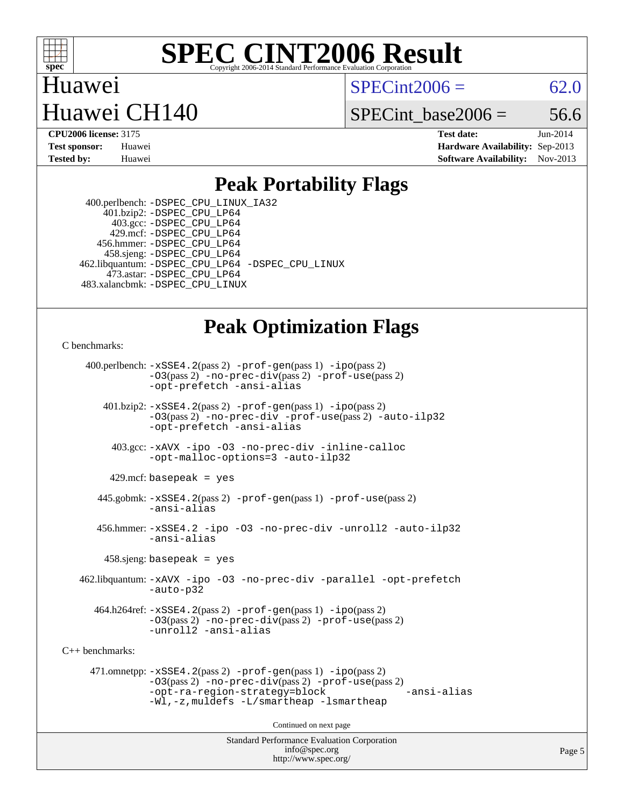

 $SPECint2006 = 62.0$  $SPECint2006 = 62.0$ 

### Huawei CH140

SPECint base2006 =  $56.6$ 

Huawei

**[CPU2006 license:](http://www.spec.org/auto/cpu2006/Docs/result-fields.html#CPU2006license)** 3175 **[Test date:](http://www.spec.org/auto/cpu2006/Docs/result-fields.html#Testdate)** Jun-2014 **[Test sponsor:](http://www.spec.org/auto/cpu2006/Docs/result-fields.html#Testsponsor)** Huawei **[Hardware Availability:](http://www.spec.org/auto/cpu2006/Docs/result-fields.html#HardwareAvailability)** Sep-2013 **[Tested by:](http://www.spec.org/auto/cpu2006/Docs/result-fields.html#Testedby)** Huawei **[Software Availability:](http://www.spec.org/auto/cpu2006/Docs/result-fields.html#SoftwareAvailability)** Nov-2013

#### **[Peak Portability Flags](http://www.spec.org/auto/cpu2006/Docs/result-fields.html#PeakPortabilityFlags)**

 400.perlbench: [-DSPEC\\_CPU\\_LINUX\\_IA32](http://www.spec.org/cpu2006/results/res2014q3/cpu2006-20140610-29850.flags.html#b400.perlbench_peakCPORTABILITY_DSPEC_CPU_LINUX_IA32) 401.bzip2: [-DSPEC\\_CPU\\_LP64](http://www.spec.org/cpu2006/results/res2014q3/cpu2006-20140610-29850.flags.html#suite_peakPORTABILITY401_bzip2_DSPEC_CPU_LP64) 403.gcc: [-DSPEC\\_CPU\\_LP64](http://www.spec.org/cpu2006/results/res2014q3/cpu2006-20140610-29850.flags.html#suite_peakPORTABILITY403_gcc_DSPEC_CPU_LP64) 429.mcf: [-DSPEC\\_CPU\\_LP64](http://www.spec.org/cpu2006/results/res2014q3/cpu2006-20140610-29850.flags.html#suite_peakPORTABILITY429_mcf_DSPEC_CPU_LP64) 456.hmmer: [-DSPEC\\_CPU\\_LP64](http://www.spec.org/cpu2006/results/res2014q3/cpu2006-20140610-29850.flags.html#suite_peakPORTABILITY456_hmmer_DSPEC_CPU_LP64) 458.sjeng: [-DSPEC\\_CPU\\_LP64](http://www.spec.org/cpu2006/results/res2014q3/cpu2006-20140610-29850.flags.html#suite_peakPORTABILITY458_sjeng_DSPEC_CPU_LP64) 462.libquantum: [-DSPEC\\_CPU\\_LP64](http://www.spec.org/cpu2006/results/res2014q3/cpu2006-20140610-29850.flags.html#suite_peakPORTABILITY462_libquantum_DSPEC_CPU_LP64) [-DSPEC\\_CPU\\_LINUX](http://www.spec.org/cpu2006/results/res2014q3/cpu2006-20140610-29850.flags.html#b462.libquantum_peakCPORTABILITY_DSPEC_CPU_LINUX) 473.astar: [-DSPEC\\_CPU\\_LP64](http://www.spec.org/cpu2006/results/res2014q3/cpu2006-20140610-29850.flags.html#suite_peakPORTABILITY473_astar_DSPEC_CPU_LP64) 483.xalancbmk: [-DSPEC\\_CPU\\_LINUX](http://www.spec.org/cpu2006/results/res2014q3/cpu2006-20140610-29850.flags.html#b483.xalancbmk_peakCXXPORTABILITY_DSPEC_CPU_LINUX)

#### **[Peak Optimization Flags](http://www.spec.org/auto/cpu2006/Docs/result-fields.html#PeakOptimizationFlags)**

[C benchmarks](http://www.spec.org/auto/cpu2006/Docs/result-fields.html#Cbenchmarks):

 400.perlbench: [-xSSE4.2](http://www.spec.org/cpu2006/results/res2014q3/cpu2006-20140610-29850.flags.html#user_peakPASS2_CFLAGSPASS2_LDCFLAGS400_perlbench_f-xSSE42_f91528193cf0b216347adb8b939d4107)(pass 2) [-prof-gen](http://www.spec.org/cpu2006/results/res2014q3/cpu2006-20140610-29850.flags.html#user_peakPASS1_CFLAGSPASS1_LDCFLAGS400_perlbench_prof_gen_e43856698f6ca7b7e442dfd80e94a8fc)(pass 1) [-ipo](http://www.spec.org/cpu2006/results/res2014q3/cpu2006-20140610-29850.flags.html#user_peakPASS2_CFLAGSPASS2_LDCFLAGS400_perlbench_f-ipo)(pass 2) [-O3](http://www.spec.org/cpu2006/results/res2014q3/cpu2006-20140610-29850.flags.html#user_peakPASS2_CFLAGSPASS2_LDCFLAGS400_perlbench_f-O3)(pass 2) [-no-prec-div](http://www.spec.org/cpu2006/results/res2014q3/cpu2006-20140610-29850.flags.html#user_peakPASS2_CFLAGSPASS2_LDCFLAGS400_perlbench_f-no-prec-div)(pass 2) [-prof-use](http://www.spec.org/cpu2006/results/res2014q3/cpu2006-20140610-29850.flags.html#user_peakPASS2_CFLAGSPASS2_LDCFLAGS400_perlbench_prof_use_bccf7792157ff70d64e32fe3e1250b55)(pass 2) [-opt-prefetch](http://www.spec.org/cpu2006/results/res2014q3/cpu2006-20140610-29850.flags.html#user_peakCOPTIMIZE400_perlbench_f-opt-prefetch) [-ansi-alias](http://www.spec.org/cpu2006/results/res2014q3/cpu2006-20140610-29850.flags.html#user_peakCOPTIMIZE400_perlbench_f-ansi-alias) 401.bzip2: [-xSSE4.2](http://www.spec.org/cpu2006/results/res2014q3/cpu2006-20140610-29850.flags.html#user_peakPASS2_CFLAGSPASS2_LDCFLAGS401_bzip2_f-xSSE42_f91528193cf0b216347adb8b939d4107)(pass 2) [-prof-gen](http://www.spec.org/cpu2006/results/res2014q3/cpu2006-20140610-29850.flags.html#user_peakPASS1_CFLAGSPASS1_LDCFLAGS401_bzip2_prof_gen_e43856698f6ca7b7e442dfd80e94a8fc)(pass 1) [-ipo](http://www.spec.org/cpu2006/results/res2014q3/cpu2006-20140610-29850.flags.html#user_peakPASS2_CFLAGSPASS2_LDCFLAGS401_bzip2_f-ipo)(pass 2) [-O3](http://www.spec.org/cpu2006/results/res2014q3/cpu2006-20140610-29850.flags.html#user_peakPASS2_CFLAGSPASS2_LDCFLAGS401_bzip2_f-O3)(pass 2) [-no-prec-div](http://www.spec.org/cpu2006/results/res2014q3/cpu2006-20140610-29850.flags.html#user_peakCOPTIMIZEPASS2_CFLAGSPASS2_LDCFLAGS401_bzip2_f-no-prec-div) [-prof-use](http://www.spec.org/cpu2006/results/res2014q3/cpu2006-20140610-29850.flags.html#user_peakPASS2_CFLAGSPASS2_LDCFLAGS401_bzip2_prof_use_bccf7792157ff70d64e32fe3e1250b55)(pass 2) [-auto-ilp32](http://www.spec.org/cpu2006/results/res2014q3/cpu2006-20140610-29850.flags.html#user_peakCOPTIMIZE401_bzip2_f-auto-ilp32) [-opt-prefetch](http://www.spec.org/cpu2006/results/res2014q3/cpu2006-20140610-29850.flags.html#user_peakCOPTIMIZE401_bzip2_f-opt-prefetch) [-ansi-alias](http://www.spec.org/cpu2006/results/res2014q3/cpu2006-20140610-29850.flags.html#user_peakCOPTIMIZE401_bzip2_f-ansi-alias) 403.gcc: [-xAVX](http://www.spec.org/cpu2006/results/res2014q3/cpu2006-20140610-29850.flags.html#user_peakCOPTIMIZE403_gcc_f-xAVX) [-ipo](http://www.spec.org/cpu2006/results/res2014q3/cpu2006-20140610-29850.flags.html#user_peakCOPTIMIZE403_gcc_f-ipo) [-O3](http://www.spec.org/cpu2006/results/res2014q3/cpu2006-20140610-29850.flags.html#user_peakCOPTIMIZE403_gcc_f-O3) [-no-prec-div](http://www.spec.org/cpu2006/results/res2014q3/cpu2006-20140610-29850.flags.html#user_peakCOPTIMIZE403_gcc_f-no-prec-div) [-inline-calloc](http://www.spec.org/cpu2006/results/res2014q3/cpu2006-20140610-29850.flags.html#user_peakCOPTIMIZE403_gcc_f-inline-calloc) [-opt-malloc-options=3](http://www.spec.org/cpu2006/results/res2014q3/cpu2006-20140610-29850.flags.html#user_peakCOPTIMIZE403_gcc_f-opt-malloc-options_13ab9b803cf986b4ee62f0a5998c2238) [-auto-ilp32](http://www.spec.org/cpu2006/results/res2014q3/cpu2006-20140610-29850.flags.html#user_peakCOPTIMIZE403_gcc_f-auto-ilp32)  $429$ .mcf: basepeak = yes 445.gobmk: [-xSSE4.2](http://www.spec.org/cpu2006/results/res2014q3/cpu2006-20140610-29850.flags.html#user_peakPASS2_CFLAGSPASS2_LDCFLAGS445_gobmk_f-xSSE42_f91528193cf0b216347adb8b939d4107)(pass 2) [-prof-gen](http://www.spec.org/cpu2006/results/res2014q3/cpu2006-20140610-29850.flags.html#user_peakPASS1_CFLAGSPASS1_LDCFLAGS445_gobmk_prof_gen_e43856698f6ca7b7e442dfd80e94a8fc)(pass 1) [-prof-use](http://www.spec.org/cpu2006/results/res2014q3/cpu2006-20140610-29850.flags.html#user_peakPASS2_CFLAGSPASS2_LDCFLAGS445_gobmk_prof_use_bccf7792157ff70d64e32fe3e1250b55)(pass 2) [-ansi-alias](http://www.spec.org/cpu2006/results/res2014q3/cpu2006-20140610-29850.flags.html#user_peakCOPTIMIZE445_gobmk_f-ansi-alias) 456.hmmer: [-xSSE4.2](http://www.spec.org/cpu2006/results/res2014q3/cpu2006-20140610-29850.flags.html#user_peakCOPTIMIZE456_hmmer_f-xSSE42_f91528193cf0b216347adb8b939d4107) [-ipo](http://www.spec.org/cpu2006/results/res2014q3/cpu2006-20140610-29850.flags.html#user_peakCOPTIMIZE456_hmmer_f-ipo) [-O3](http://www.spec.org/cpu2006/results/res2014q3/cpu2006-20140610-29850.flags.html#user_peakCOPTIMIZE456_hmmer_f-O3) [-no-prec-div](http://www.spec.org/cpu2006/results/res2014q3/cpu2006-20140610-29850.flags.html#user_peakCOPTIMIZE456_hmmer_f-no-prec-div) [-unroll2](http://www.spec.org/cpu2006/results/res2014q3/cpu2006-20140610-29850.flags.html#user_peakCOPTIMIZE456_hmmer_f-unroll_784dae83bebfb236979b41d2422d7ec2) [-auto-ilp32](http://www.spec.org/cpu2006/results/res2014q3/cpu2006-20140610-29850.flags.html#user_peakCOPTIMIZE456_hmmer_f-auto-ilp32) [-ansi-alias](http://www.spec.org/cpu2006/results/res2014q3/cpu2006-20140610-29850.flags.html#user_peakCOPTIMIZE456_hmmer_f-ansi-alias) 458.sjeng: basepeak = yes 462.libquantum: [-xAVX](http://www.spec.org/cpu2006/results/res2014q3/cpu2006-20140610-29850.flags.html#user_peakCOPTIMIZE462_libquantum_f-xAVX) [-ipo](http://www.spec.org/cpu2006/results/res2014q3/cpu2006-20140610-29850.flags.html#user_peakCOPTIMIZE462_libquantum_f-ipo) [-O3](http://www.spec.org/cpu2006/results/res2014q3/cpu2006-20140610-29850.flags.html#user_peakCOPTIMIZE462_libquantum_f-O3) [-no-prec-div](http://www.spec.org/cpu2006/results/res2014q3/cpu2006-20140610-29850.flags.html#user_peakCOPTIMIZE462_libquantum_f-no-prec-div) [-parallel](http://www.spec.org/cpu2006/results/res2014q3/cpu2006-20140610-29850.flags.html#user_peakCOPTIMIZE462_libquantum_f-parallel) [-opt-prefetch](http://www.spec.org/cpu2006/results/res2014q3/cpu2006-20140610-29850.flags.html#user_peakCOPTIMIZE462_libquantum_f-opt-prefetch) [-auto-p32](http://www.spec.org/cpu2006/results/res2014q3/cpu2006-20140610-29850.flags.html#user_peakCOPTIMIZE462_libquantum_f-auto-p32) 464.h264ref: [-xSSE4.2](http://www.spec.org/cpu2006/results/res2014q3/cpu2006-20140610-29850.flags.html#user_peakPASS2_CFLAGSPASS2_LDCFLAGS464_h264ref_f-xSSE42_f91528193cf0b216347adb8b939d4107)(pass 2) [-prof-gen](http://www.spec.org/cpu2006/results/res2014q3/cpu2006-20140610-29850.flags.html#user_peakPASS1_CFLAGSPASS1_LDCFLAGS464_h264ref_prof_gen_e43856698f6ca7b7e442dfd80e94a8fc)(pass 1) [-ipo](http://www.spec.org/cpu2006/results/res2014q3/cpu2006-20140610-29850.flags.html#user_peakPASS2_CFLAGSPASS2_LDCFLAGS464_h264ref_f-ipo)(pass 2) [-O3](http://www.spec.org/cpu2006/results/res2014q3/cpu2006-20140610-29850.flags.html#user_peakPASS2_CFLAGSPASS2_LDCFLAGS464_h264ref_f-O3)(pass 2) [-no-prec-div](http://www.spec.org/cpu2006/results/res2014q3/cpu2006-20140610-29850.flags.html#user_peakPASS2_CFLAGSPASS2_LDCFLAGS464_h264ref_f-no-prec-div)(pass 2) [-prof-use](http://www.spec.org/cpu2006/results/res2014q3/cpu2006-20140610-29850.flags.html#user_peakPASS2_CFLAGSPASS2_LDCFLAGS464_h264ref_prof_use_bccf7792157ff70d64e32fe3e1250b55)(pass 2) [-unroll2](http://www.spec.org/cpu2006/results/res2014q3/cpu2006-20140610-29850.flags.html#user_peakCOPTIMIZE464_h264ref_f-unroll_784dae83bebfb236979b41d2422d7ec2) [-ansi-alias](http://www.spec.org/cpu2006/results/res2014q3/cpu2006-20140610-29850.flags.html#user_peakCOPTIMIZE464_h264ref_f-ansi-alias) [C++ benchmarks:](http://www.spec.org/auto/cpu2006/Docs/result-fields.html#CXXbenchmarks) 471.omnetpp: [-xSSE4.2](http://www.spec.org/cpu2006/results/res2014q3/cpu2006-20140610-29850.flags.html#user_peakPASS2_CXXFLAGSPASS2_LDCXXFLAGS471_omnetpp_f-xSSE42_f91528193cf0b216347adb8b939d4107)(pass 2) [-prof-gen](http://www.spec.org/cpu2006/results/res2014q3/cpu2006-20140610-29850.flags.html#user_peakPASS1_CXXFLAGSPASS1_LDCXXFLAGS471_omnetpp_prof_gen_e43856698f6ca7b7e442dfd80e94a8fc)(pass 1) [-ipo](http://www.spec.org/cpu2006/results/res2014q3/cpu2006-20140610-29850.flags.html#user_peakPASS2_CXXFLAGSPASS2_LDCXXFLAGS471_omnetpp_f-ipo)(pass 2) [-O3](http://www.spec.org/cpu2006/results/res2014q3/cpu2006-20140610-29850.flags.html#user_peakPASS2_CXXFLAGSPASS2_LDCXXFLAGS471_omnetpp_f-O3)(pass 2) [-no-prec-div](http://www.spec.org/cpu2006/results/res2014q3/cpu2006-20140610-29850.flags.html#user_peakPASS2_CXXFLAGSPASS2_LDCXXFLAGS471_omnetpp_f-no-prec-div)(pass 2) [-prof-use](http://www.spec.org/cpu2006/results/res2014q3/cpu2006-20140610-29850.flags.html#user_peakPASS2_CXXFLAGSPASS2_LDCXXFLAGS471_omnetpp_prof_use_bccf7792157ff70d64e32fe3e1250b55)(pass 2) [-opt-ra-region-strategy=block](http://www.spec.org/cpu2006/results/res2014q3/cpu2006-20140610-29850.flags.html#user_peakCXXOPTIMIZE471_omnetpp_f-opt-ra-region-strategy_5382940c29ea30302d682fc74bfe0147) [-ansi-alias](http://www.spec.org/cpu2006/results/res2014q3/cpu2006-20140610-29850.flags.html#user_peakCXXOPTIMIZE471_omnetpp_f-ansi-alias) [-Wl,-z,muldefs](http://www.spec.org/cpu2006/results/res2014q3/cpu2006-20140610-29850.flags.html#user_peakEXTRA_LDFLAGS471_omnetpp_link_force_multiple1_74079c344b956b9658436fd1b6dd3a8a) [-L/smartheap -lsmartheap](http://www.spec.org/cpu2006/results/res2014q3/cpu2006-20140610-29850.flags.html#user_peakEXTRA_LIBS471_omnetpp_SmartHeap_7c9e394a5779e1a7fec7c221e123830c) Continued on next page

> Standard Performance Evaluation Corporation [info@spec.org](mailto:info@spec.org) <http://www.spec.org/>